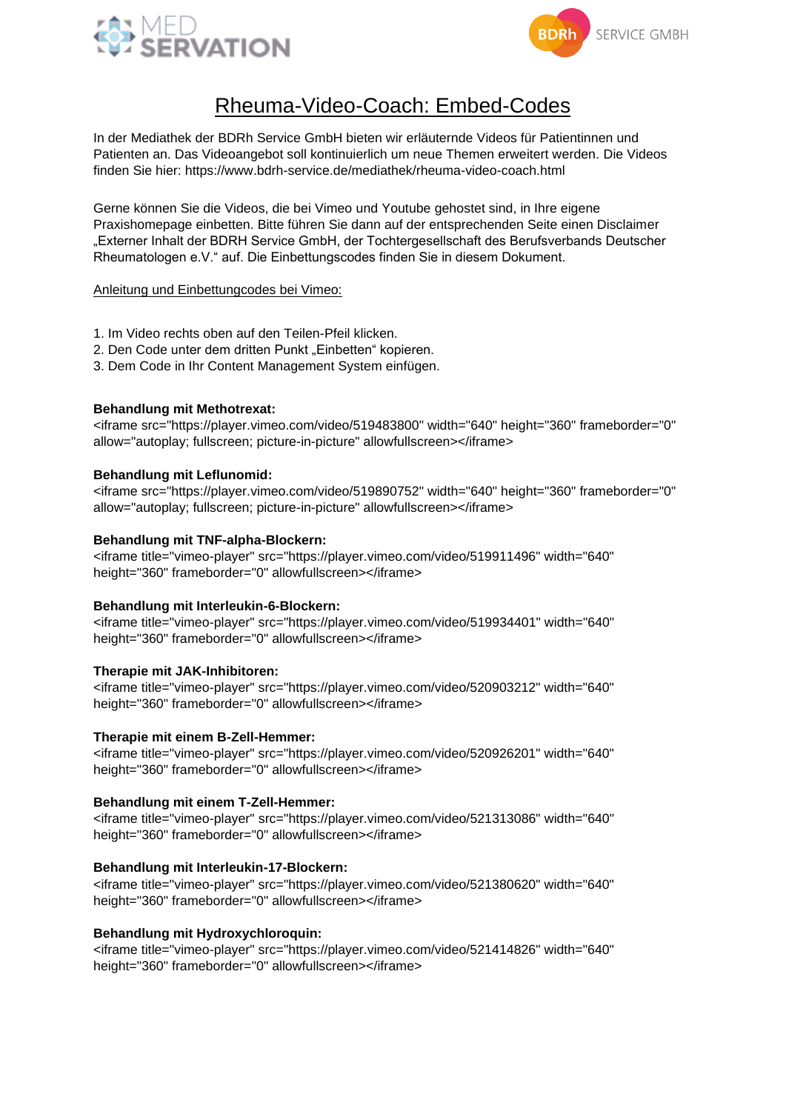



# Rheuma-Video-Coach: Embed-Codes

In der Mediathek der BDRh Service GmbH bieten wir erläuternde Videos für Patientinnen und Patienten an. Das Videoangebot soll kontinuierlich um neue Themen erweitert werden. Die Videos finden Sie hier: https://www.bdrh-service.de/mediathek/rheuma-video-coach.html

Gerne können Sie die Videos, die bei Vimeo und Youtube gehostet sind, in Ihre eigene Praxishomepage einbetten. Bitte führen Sie dann auf der entsprechenden Seite einen Disclaimer "Externer Inhalt der BDRH Service GmbH, der Tochtergesellschaft des Berufsverbands Deutscher Rheumatologen e.V." auf. Die Einbettungscodes finden Sie in diesem Dokument.

# Anleitung und Einbettungcodes bei Vimeo:

- 1. Im Video rechts oben auf den Teilen-Pfeil klicken.
- 2. Den Code unter dem dritten Punkt "Einbetten" kopieren.
- 3. Dem Code in Ihr Content Management System einfügen.

# **Behandlung mit Methotrexat:**

<iframe src="https://player.vimeo.com/video/519483800" width="640" height="360" frameborder="0" allow="autoplay; fullscreen; picture-in-picture" allowfullscreen></iframe>

## **Behandlung mit Leflunomid:**

<iframe src="https://player.vimeo.com/video/519890752" width="640" height="360" frameborder="0" allow="autoplay; fullscreen; picture-in-picture" allowfullscreen></iframe>

## **Behandlung mit TNF-alpha-Blockern:**

<iframe title="vimeo-player" src="https://player.vimeo.com/video/519911496" width="640" height="360" frameborder="0" allowfullscreen></iframe>

#### **Behandlung mit Interleukin-6-Blockern:**

<iframe title="vimeo-player" src="https://player.vimeo.com/video/519934401" width="640" height="360" frameborder="0" allowfullscreen></iframe>

# **Therapie mit JAK-Inhibitoren:**

<iframe title="vimeo-player" src="https://player.vimeo.com/video/520903212" width="640" height="360" frameborder="0" allowfullscreen></iframe>

# **Therapie mit einem B-Zell-Hemmer:**

<iframe title="vimeo-player" src="https://player.vimeo.com/video/520926201" width="640" height="360" frameborder="0" allowfullscreen></iframe>

#### **Behandlung mit einem T-Zell-Hemmer:**

<iframe title="vimeo-player" src="https://player.vimeo.com/video/521313086" width="640" height="360" frameborder="0" allowfullscreen></iframe>

# **Behandlung mit Interleukin-17-Blockern:**

<iframe title="vimeo-player" src="https://player.vimeo.com/video/521380620" width="640" height="360" frameborder="0" allowfullscreen></iframe>

# **Behandlung mit Hydroxychloroquin:**

<iframe title="vimeo-player" src="https://player.vimeo.com/video/521414826" width="640" height="360" frameborder="0" allowfullscreen></iframe>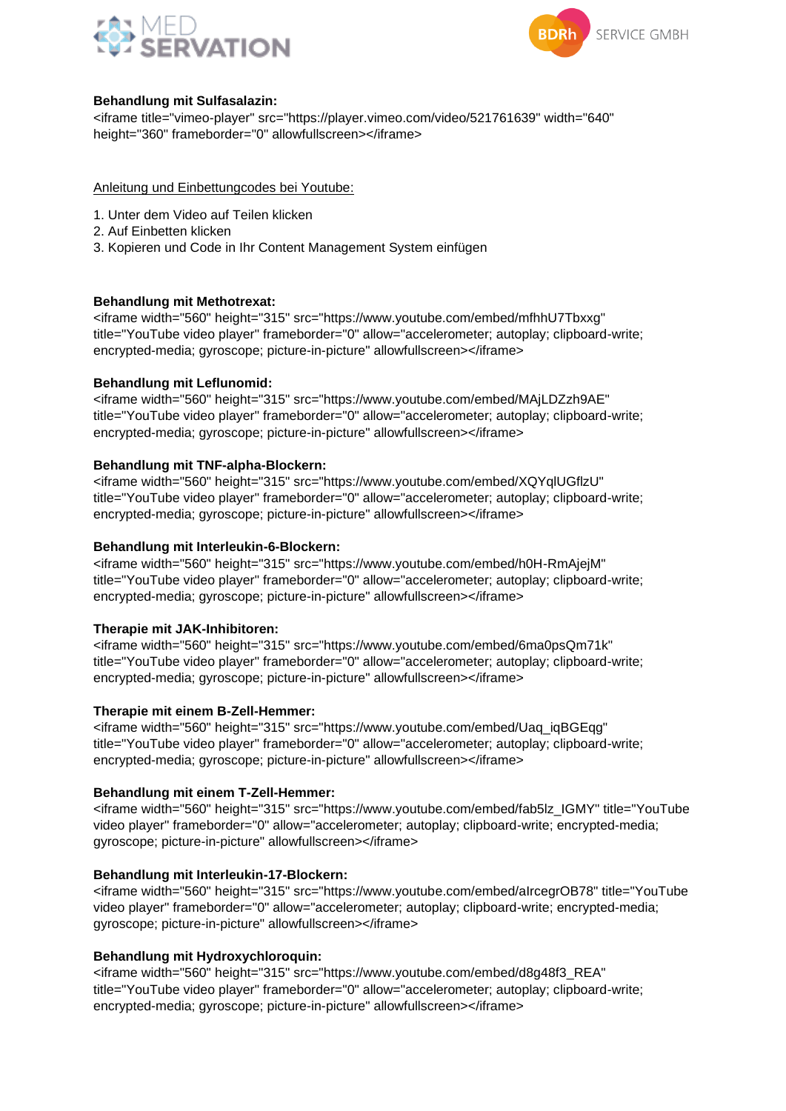



# **Behandlung mit Sulfasalazin:**

<iframe title="vimeo-player" src="https://player.vimeo.com/video/521761639" width="640" height="360" frameborder="0" allowfullscreen></iframe>

Anleitung und Einbettungcodes bei Youtube:

- 1. Unter dem Video auf Teilen klicken
- 2. Auf Einbetten klicken
- 3. Kopieren und Code in Ihr Content Management System einfügen

## **Behandlung mit Methotrexat:**

<iframe width="560" height="315" src="https://www.youtube.com/embed/mfhhU7Tbxxg" title="YouTube video player" frameborder="0" allow="accelerometer; autoplay; clipboard-write; encrypted-media; gyroscope; picture-in-picture" allowfullscreen></iframe>

## **Behandlung mit Leflunomid:**

<iframe width="560" height="315" src="https://www.youtube.com/embed/MAjLDZzh9AE" title="YouTube video player" frameborder="0" allow="accelerometer; autoplay; clipboard-write; encrypted-media; gyroscope; picture-in-picture" allowfullscreen></iframe>

## **Behandlung mit TNF-alpha-Blockern:**

<iframe width="560" height="315" src="https://www.youtube.com/embed/XQYqlUGflzU" title="YouTube video player" frameborder="0" allow="accelerometer; autoplay; clipboard-write; encrypted-media; gyroscope; picture-in-picture" allowfullscreen></iframe>

## **Behandlung mit Interleukin-6-Blockern:**

<iframe width="560" height="315" src="https://www.youtube.com/embed/h0H-RmAjejM" title="YouTube video player" frameborder="0" allow="accelerometer; autoplay; clipboard-write; encrypted-media; gyroscope; picture-in-picture" allowfullscreen></iframe>

#### **Therapie mit JAK-Inhibitoren:**

<iframe width="560" height="315" src="https://www.youtube.com/embed/6ma0psQm71k" title="YouTube video player" frameborder="0" allow="accelerometer; autoplay; clipboard-write; encrypted-media; gyroscope; picture-in-picture" allowfullscreen></iframe>

# **Therapie mit einem B-Zell-Hemmer:**

<iframe width="560" height="315" src="https://www.youtube.com/embed/Uaq\_iqBGEqg" title="YouTube video player" frameborder="0" allow="accelerometer; autoplay; clipboard-write; encrypted-media; gyroscope; picture-in-picture" allowfullscreen></iframe>

#### **Behandlung mit einem T-Zell-Hemmer:**

<iframe width="560" height="315" src="https://www.youtube.com/embed/fab5lz\_IGMY" title="YouTube video player" frameborder="0" allow="accelerometer; autoplay; clipboard-write; encrypted-media; gyroscope; picture-in-picture" allowfullscreen></iframe>

# **Behandlung mit Interleukin-17-Blockern:**

<iframe width="560" height="315" src="https://www.youtube.com/embed/aIrcegrOB78" title="YouTube video player" frameborder="0" allow="accelerometer; autoplay; clipboard-write; encrypted-media; gyroscope; picture-in-picture" allowfullscreen></iframe>

# **Behandlung mit Hydroxychloroquin:**

<iframe width="560" height="315" src="https://www.youtube.com/embed/d8g48f3\_REA" title="YouTube video player" frameborder="0" allow="accelerometer; autoplay; clipboard-write; encrypted-media; gyroscope; picture-in-picture" allowfullscreen></iframe>